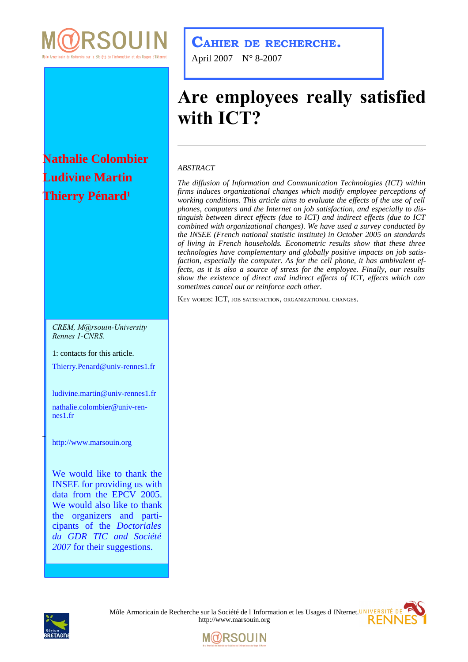

## **Nathalie Colombier Ludivine Martin Thierry Pénard<sup>1</sup>**

*CREM, M@rsouin-University Rennes 1-CNRS.*

1: contacts for this article.

[Thierry.Penard@univ-rennes1.fr](mailto:thierry.penard@univ-rennes1.fr)

[ludivine.martin@univ-rennes1.fr](mailto:ludivine.martin@univ-rennes1.fr)

[nathalie.colombier@](mailto:nathalie.colombier@)[univ-ren](mailto:nathalie.colombier@univ-rennes1.fr)[nes1.fr](mailto:nathalie.colombier@univ-rennes1.fr)

[http://www.marsouin.org](http://www.marsouin.org/)

We would like to thank the INSEE for providing us with data from the EPCV 2005. We would also like to thank the organizers and participants of the *Doctoriales du GDR TIC and Société 2007* for their suggestions.

### **CAHIER DE RECHERCHE.**

April 2007 N° 8-2007

# **Are employees really satisfied with ICT?**

#### *ABSTRACT*

*The diffusion of Information and Communication Technologies (ICT) within firms induces organizational changes which modify employee perceptions of working conditions. This article aims to evaluate the effects of the use of cell phones, computers and the Internet on job satisfaction, and especially to distinguish between direct effects (due to ICT) and indirect effects (due to ICT combined with organizational changes). We have used a survey conducted by the INSEE (French national statistic institute) in October 2005 on standards of living in French households. Econometric results show that these three technologies have complementary and globally positive impacts on job satisfaction, especially the computer. As for the cell phone, it has ambivalent effects, as it is also a source of stress for the employee. Finally, our results show the existence of direct and indirect effects of ICT, effects which can sometimes cancel out or reinforce each other.*

KEY WORDS: ICT, JOB SATISFACTION, ORGANIZATIONAL CHANGES.



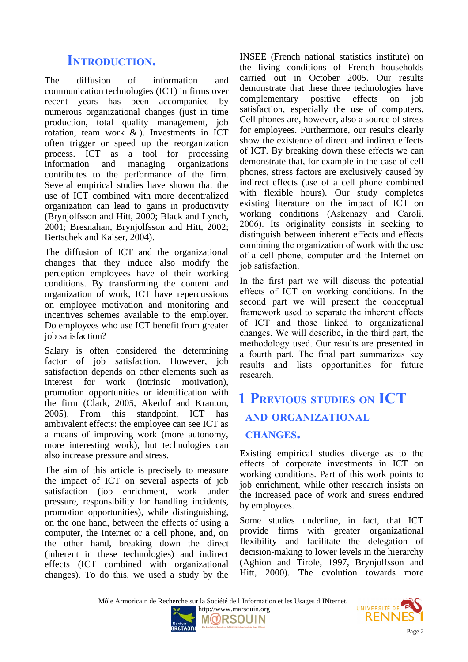## **INTRODUCTION.**

The diffusion of information and communication technologies (ICT) in firms over recent years has been accompanied by numerous organizational changes (just in time production, total quality management, job rotation, team work & ). Investments in ICT often trigger or speed up the reorganization process. ICT as a tool for processing information and managing organizations contributes to the performance of the firm. Several empirical studies have shown that the use of ICT combined with more decentralized organization can lead to gains in productivity (Brynjolfsson and Hitt, 2000; Black and Lynch, 2001; Bresnahan, Brynjolfsson and Hitt, 2002; Bertschek and Kaiser, 2004).

The diffusion of ICT and the organizational changes that they induce also modify the perception employees have of their working conditions. By transforming the content and organization of work, ICT have repercussions on employee motivation and monitoring and incentives schemes available to the employer. Do employees who use ICT benefit from greater job satisfaction?

Salary is often considered the determining factor of job satisfaction. However, job satisfaction depends on other elements such as interest for work (intrinsic motivation), promotion opportunities or identification with the firm (Clark, 2005, Akerlof and Kranton, 2005). From this standpoint, ICT has ambivalent effects: the employee can see ICT as a means of improving work (more autonomy, more interesting work), but technologies can also increase pressure and stress.

The aim of this article is precisely to measure the impact of ICT on several aspects of job satisfaction (job enrichment, work under pressure, responsibility for handling incidents, promotion opportunities), while distinguishing, on the one hand, between the effects of using a computer, the Internet or a cell phone, and, on the other hand, breaking down the direct (inherent in these technologies) and indirect effects (ICT combined with organizational changes). To do this, we used a study by the

INSEE (French national statistics institute) on the living conditions of French households carried out in October 2005. Our results demonstrate that these three technologies have complementary positive effects on job satisfaction, especially the use of computers. Cell phones are, however, also a source of stress for employees. Furthermore, our results clearly show the existence of direct and indirect effects of ICT. By breaking down these effects we can demonstrate that, for example in the case of cell phones, stress factors are exclusively caused by indirect effects (use of a cell phone combined with flexible hours). Our study completes existing literature on the impact of ICT on working conditions (Askenazy and Caroli, 2006). Its originality consists in seeking to distinguish between inherent effects and effects combining the organization of work with the use of a cell phone, computer and the Internet on job satisfaction.

In the first part we will discuss the potential effects of ICT on working conditions. In the second part we will present the conceptual framework used to separate the inherent effects of ICT and those linked to organizational changes. We will describe, in the third part, the methodology used. Our results are presented in a fourth part. The final part summarizes key results and lists opportunities for future research.

## **1 PREVIOUS STUDIES ON ICT AND ORGANIZATIONAL CHANGES.**

Existing empirical studies diverge as to the effects of corporate investments in ICT on working conditions. Part of this work points to job enrichment, while other research insists on the increased pace of work and stress endured by employees.

Some studies underline, in fact, that ICT provide firms with greater organizational flexibility and facilitate the delegation of decision-making to lower levels in the hierarchy (Aghion and Tirole, 1997, Brynjolfsson and Hitt, 2000). The evolution towards more

Môle Armoricain de Recherche sur la Société de l Information et les Usages d INternet.





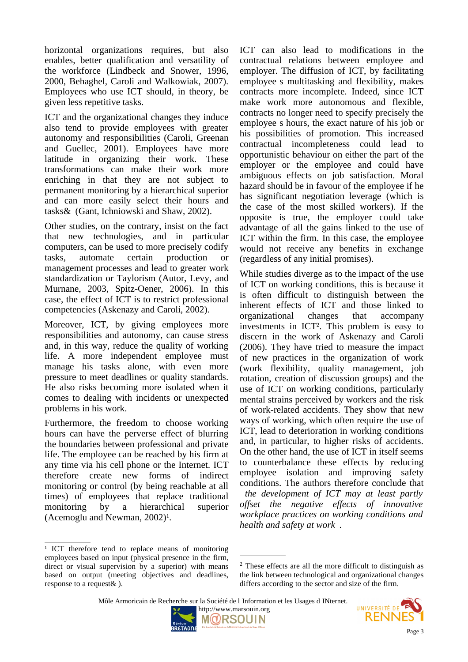horizontal organizations requires, but also enables, better qualification and versatility of the workforce (Lindbeck and Snower, 1996, 2000, Behaghel, Caroli and Walkowiak, 2007). Employees who use ICT should, in theory, be given less repetitive tasks.

ICT and the organizational changes they induce also tend to provide employees with greater autonomy and responsibilities (Caroli, Greenan and Guellec, 2001). Employees have more latitude in organizing their work. These transformations can make their work more enriching in that they are not subject to permanent monitoring by a hierarchical superior and can more easily select their hours and tasks& (Gant, Ichniowski and Shaw, 2002).

Other studies, on the contrary, insist on the fact that new technologies, and in particular computers, can be used to more precisely codify tasks, automate certain production or management processes and lead to greater work standardization or Taylorism (Autor, Levy, and Murnane, 2003, Spitz-Oener, 2006). In this case, the effect of ICT is to restrict professional competencies (Askenazy and Caroli, 2002).

Moreover, ICT, by giving employees more responsibilities and autonomy, can cause stress and, in this way, reduce the quality of working life. A more independent employee must manage his tasks alone, with even more pressure to meet deadlines or quality standards. He also risks becoming more isolated when it comes to dealing with incidents or unexpected problems in his work.

Furthermore, the freedom to choose working hours can have the perverse effect of blurring the boundaries between professional and private life. The employee can be reached by his firm at any time via his cell phone or the Internet. ICT therefore create new forms of indirect monitoring or control (by being reachable at all times) of employees that replace traditional monitoring by a hierarchical superior (Acemoglu and Newman, 2002)<sup>[1](#page-2-0)</sup>.

ICT can also lead to modifications in the contractual relations between employee and employer. The diffusion of ICT, by facilitating employee s multitasking and flexibility, makes contracts more incomplete. Indeed, since ICT make work more autonomous and flexible, contracts no longer need to specify precisely the employee s hours, the exact nature of his job or his possibilities of promotion. This increased contractual incompleteness could lead to opportunistic behaviour on either the part of the employer or the employee and could have ambiguous effects on job satisfaction. Moral hazard should be in favour of the employee if he has significant negotiation leverage (which is the case of the most skilled workers). If the opposite is true, the employer could take advantage of all the gains linked to the use of ICT within the firm. In this case, the employee would not receive any benefits in exchange (regardless of any initial promises).

While studies diverge as to the impact of the use of ICT on working conditions, this is because it is often difficult to distinguish between the inherent effects of ICT and those linked to organizational changes that accompany investments in ICT[2](#page-2-1) . This problem is easy to discern in the work of Askenazy and Caroli (2006). They have tried to measure the impact of new practices in the organization of work (work flexibility, quality management, job rotation, creation of discussion groups) and the use of ICT on working conditions, particularly mental strains perceived by workers and the risk of work-related accidents. They show that new ways of working, which often require the use of ICT, lead to deterioration in working conditions and, in particular, to higher risks of accidents. On the other hand, the use of ICT in itself seems to counterbalance these effects by reducing employee isolation and improving safety conditions. The authors therefore conclude that

 *the development of ICT may at least partly offset the negative effects of innovative workplace practices on working conditions and health and safety at work* .

i,



UNIVERSITÉ DE

<span id="page-2-0"></span><sup>&</sup>lt;sup>1</sup> ICT therefore tend to replace means of monitoring employees based on input (physical presence in the firm, direct or visual supervision by a superior) with means based on output (meeting objectives and deadlines, response to a request& ).

<span id="page-2-1"></span><sup>2</sup> These effects are all the more difficult to distinguish as the link between technological and organizational changes differs according to the sector and size of the firm.

Môle Armoricain de Recherche sur la Société de l Information et les Usages d INternet.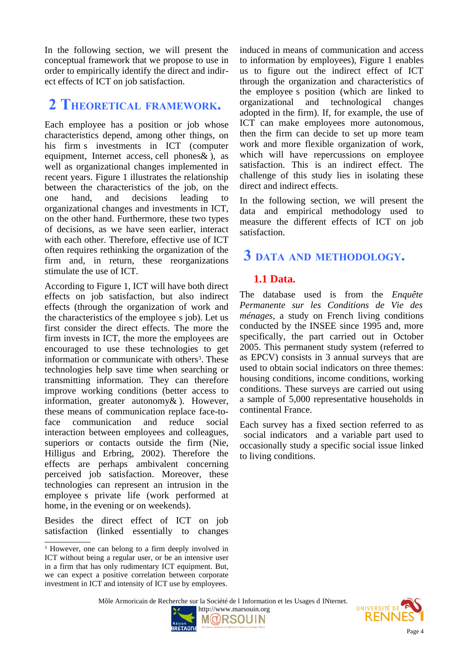In the following section, we will present the conceptual framework that we propose to use in order to empirically identify the direct and indirect effects of ICT on job satisfaction.

### **2 THEORETICAL FRAMEWORK.**

Each employee has a position or job whose characteristics depend, among other things, on his firm s investments in ICT (computer equipment, Internet access, cell phones& ), as well as organizational changes implemented in recent years. Figure 1 illustrates the relationship between the characteristics of the job, on the one hand, and decisions leading to organizational changes and investments in ICT, on the other hand. Furthermore, these two types of decisions, as we have seen earlier, interact with each other. Therefore, effective use of ICT often requires rethinking the organization of the firm and, in return, these reorganizations stimulate the use of ICT.

According to Figure 1, ICT will have both direct effects on job satisfaction, but also indirect effects (through the organization of work and the characteristics of the employee s job). Let us first consider the direct effects. The more the firm invests in ICT, the more the employees are encouraged to use these technologies to get information or communicate with others<sup>[3](#page-3-0)</sup>. These technologies help save time when searching or transmitting information. They can therefore improve working conditions (better access to information, greater autonomy& ). However, these means of communication replace face-toface communication and reduce social interaction between employees and colleagues, superiors or contacts outside the firm (Nie, Hilligus and Erbring, 2002). Therefore the effects are perhaps ambivalent concerning perceived job satisfaction. Moreover, these technologies can represent an intrusion in the employee s private life (work performed at home, in the evening or on weekends).

Besides the direct effect of ICT on job satisfaction (linked essentially to changes

induced in means of communication and access to information by employees), Figure 1 enables us to figure out the indirect effect of ICT through the organization and characteristics of the employee s position (which are linked to organizational and technological changes adopted in the firm). If, for example, the use of ICT can make employees more autonomous, then the firm can decide to set up more team work and more flexible organization of work, which will have repercussions on employee satisfaction. This is an indirect effect. The challenge of this study lies in isolating these direct and indirect effects.

In the following section, we will present the data and empirical methodology used to measure the different effects of ICT on job satisfaction.

### **3 DATA AND METHODOLOGY.**

#### **1.1 Data.**

The database used is from the *Enquête Permanente sur les Conditions de Vie des ménages*, a study on French living conditions conducted by the INSEE since 1995 and, more specifically, the part carried out in October 2005. This permanent study system (referred to as EPCV) consists in 3 annual surveys that are used to obtain social indicators on three themes: housing conditions, income conditions, working conditions. These surveys are carried out using a sample of 5,000 representative households in continental France.

Each survey has a fixed section referred to as social indicators and a variable part used to occasionally study a specific social issue linked to living conditions.

Môle Armoricain de Recherche sur la Société de l Information et les Usages d INternet.





<span id="page-3-0"></span><sup>&</sup>lt;sup>3</sup> However, one can belong to a firm deeply involved in ICT without being a regular user, or be an intensive user in a firm that has only rudimentary ICT equipment. But, we can expect a positive correlation between corporate investment in ICT and intensity of ICT use by employees.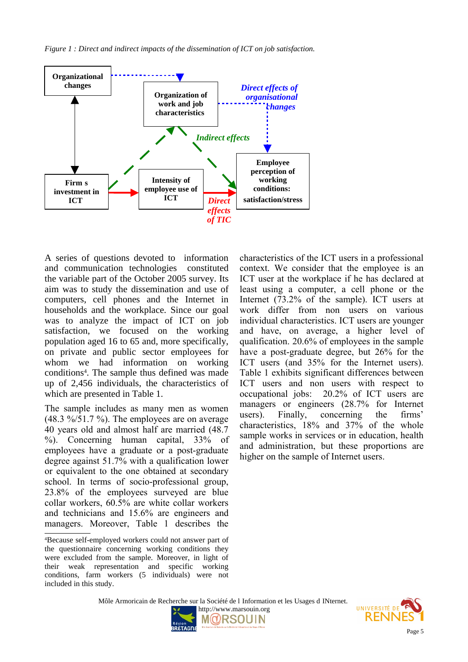*Figure 1 : Direct and indirect impacts of the dissemination of ICT on job satisfaction.*



A series of questions devoted to information and communication technologies constituted the variable part of the October 2005 survey. Its aim was to study the dissemination and use of computers, cell phones and the Internet in households and the workplace. Since our goal was to analyze the impact of ICT on job satisfaction, we focused on the working population aged 16 to 65 and, more specifically, on private and public sector employees for whom we had information on working conditions[4](#page-4-0) . The sample thus defined was made up of 2,456 individuals, the characteristics of which are presented in Table 1.

The sample includes as many men as women  $(48.3 \frac{9}{51.7} \frac{9}{6})$ . The employees are on average 40 years old and almost half are married (48.7 %). Concerning human capital, 33% of employees have a graduate or a post-graduate degree against 51.7% with a qualification lower or equivalent to the one obtained at secondary school. In terms of socio-professional group, 23.8% of the employees surveyed are blue collar workers, 60.5% are white collar workers and technicians and 15.6% are engineers and managers. Moreover, Table 1 describes the

characteristics of the ICT users in a professional context. We consider that the employee is an ICT user at the workplace if he has declared at least using a computer, a cell phone or the Internet (73.2% of the sample). ICT users at work differ from non users on various individual characteristics. ICT users are younger and have, on average, a higher level of qualification. 20.6% of employees in the sample have a post-graduate degree, but 26% for the ICT users (and 35% for the Internet users). Table 1 exhibits significant differences between ICT users and non users with respect to occupational jobs: 20.2% of ICT users are managers or engineers (28.7% for Internet users). Finally, concerning the firms' characteristics, 18% and 37% of the whole sample works in services or in education, health and administration, but these proportions are higher on the sample of Internet users.

Môle Armoricain de Recherche sur la Société de l Information et les Usages d INternet.





<span id="page-4-0"></span><sup>4</sup>Because self-employed workers could not answer part of the questionnaire concerning working conditions they were excluded from the sample. Moreover, in light of their weak representation and specific working conditions, farm workers (5 individuals) were not included in this study.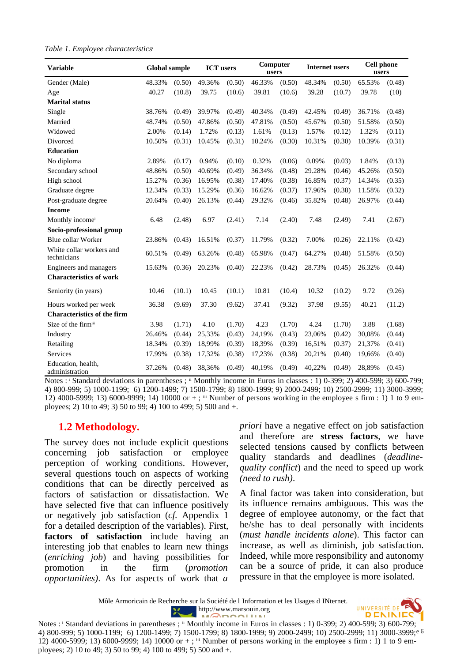|  |  |  | Table 1. Employee characteristics |  |  |
|--|--|--|-----------------------------------|--|--|
|--|--|--|-----------------------------------|--|--|

| <b>Variable</b>                         | <b>Global sample</b> |        | <b>ICT</b> users |        | Computer<br>users |        | <b>Internet users</b> |        | <b>Cell phone</b><br>users |        |
|-----------------------------------------|----------------------|--------|------------------|--------|-------------------|--------|-----------------------|--------|----------------------------|--------|
| Gender (Male)                           | 48.33%               | (0.50) | 49.36%           | (0.50) | 46.33%            | (0.50) | 48.34%                | (0.50) | 65.53%                     | (0.48) |
| Age                                     | 40.27                | (10.8) | 39.75            | (10.6) | 39.81             | (10.6) | 39.28                 | (10.7) | 39.78                      | (10)   |
| <b>Marital status</b>                   |                      |        |                  |        |                   |        |                       |        |                            |        |
| Single                                  | 38.76%               | (0.49) | 39.97%           | (0.49) | 40.34%            | (0.49) | 42.45%                | (0.49) | 36.71%                     | (0.48) |
| Married                                 | 48.74%               | (0.50) | 47.86%           | (0.50) | 47.81%            | (0.50) | 45.67%                | (0.50) | 51.58%                     | (0.50) |
| Widowed                                 | 2.00%                | (0.14) | 1.72%            | (0.13) | 1.61%             | (0.13) | 1.57%                 | (0.12) | 1.32%                      | (0.11) |
| Divorced                                | 10.50%               | (0.31) | 10.45%           | (0.31) | 10.24%            | (0.30) | 10.31%                | (0.30) | 10.39%                     | (0.31) |
| <b>Education</b>                        |                      |        |                  |        |                   |        |                       |        |                            |        |
| No diploma                              | 2.89%                | (0.17) | 0.94%            | (0.10) | 0.32%             | (0.06) | 0.09%                 | (0.03) | 1.84%                      | (0.13) |
| Secondary school                        | 48.86%               | (0.50) | 40.69%           | (0.49) | 36.34%            | (0.48) | 29.28%                | (0.46) | 45.26%                     | (0.50) |
| High school                             | 15.27%               | (0.36) | 16.95%           | (0.38) | 17.40%            | (0.38) | 16.85%                | (0.37) | 14.34%                     | (0.35) |
| Graduate degree                         | 12.34%               | (0.33) | 15.29%           | (0.36) | 16.62%            | (0.37) | 17.96%                | (0.38) | 11.58%                     | (0.32) |
| Post-graduate degree                    | 20.64%               | (0.40) | 26.13%           | (0.44) | 29.32%            | (0.46) | 35.82%                | (0.48) | 26.97%                     | (0.44) |
| <b>Income</b>                           |                      |        |                  |        |                   |        |                       |        |                            |        |
| Monthly income <sup>ii</sup>            | 6.48                 | (2.48) | 6.97             | (2.41) | 7.14              | (2.40) | 7.48                  | (2.49) | 7.41                       | (2.67) |
| Socio-professional group                |                      |        |                  |        |                   |        |                       |        |                            |        |
| <b>Blue collar Worker</b>               | 23.86%               | (0.43) | 16.51%           | (0.37) | 11.79%            | (0.32) | 7.00%                 | (0.26) | 22.11%                     | (0.42) |
| White collar workers and<br>technicians | 60.51%               | (0.49) | 63.26%           | (0.48) | 65.98%            | (0.47) | 64.27%                | (0.48) | 51.58%                     | (0.50) |
| Engineers and managers                  | 15.63%               | (0.36) | 20.23%           | (0.40) | 22.23%            | (0.42) | 28.73%                | (0.45) | 26.32%                     | (0.44) |
| <b>Characteristics of work</b>          |                      |        |                  |        |                   |        |                       |        |                            |        |
| Seniority (in years)                    | 10.46                | (10.1) | 10.45            | (10.1) | 10.81             | (10.4) | 10.32                 | (10.2) | 9.72                       | (9.26) |
| Hours worked per week                   | 36.38                | (9.69) | 37.30            | (9.62) | 37.41             | (9.32) | 37.98                 | (9.55) | 40.21                      | (11.2) |
| <b>Characteristics of the firm</b>      |                      |        |                  |        |                   |        |                       |        |                            |        |
| Size of the firmiii                     | 3.98                 | (1.71) | 4.10             | (1.70) | 4.23              | (1.70) | 4.24                  | (1.70) | 3.88                       | (1.68) |
| Industry                                | 26.46%               | (0.44) | 25,33%           | (0.43) | 24,19%            | (0.43) | 23,06%                | (0.42) | 30,08%                     | (0.44) |
| Retailing                               | 18.34%               | (0.39) | 18,99%           | (0.39) | 18,39%            | (0.39) | 16,51%                | (0.37) | 21,37%                     | (0.41) |
| <b>Services</b>                         | 17.99%               | (0.38) | 17,32%           | (0.38) | 17,23%            | (0.38) | 20,21%                | (0.40) | 19,66%                     | (0.40) |
| Education, health,<br>administration    | 37.26%               | (0.48) | 38,36%           | (0.49) | 40,19%            | (0.49) | 40,22%                | (0.49) | 28,89%                     | (0.45) |

Notes : Standard deviations in parentheses ; <sup>ii</sup> Monthly income in Euros in classes : 1) 0-399; 2) 400-599; 3) 600-799; 4) 800-999; 5) 1000-1199; 6) 1200-1499; 7) 1500-1799; 8) 1800-1999; 9) 2000-2499; 10) 2500-2999; 11) 3000-3999; 12) 4000-5999; 13) 6000-9999; 14) 10000 or + ; iii Number of persons working in the employee s firm: 1) 1 to 9 employees; 2) 10 to 49; 3) 50 to 99; 4) 100 to 499; 5) 500 and +.

#### **1.2 Methodology.**

The survey does not include explicit questions concerning job satisfaction or employee perception of working conditions. However, several questions touch on aspects of working conditions that can be directly perceived as factors of satisfaction or dissatisfaction. We have selected five that can influence positively or negatively job satisfaction (*cf.* Appendix 1 for a detailed description of the variables). First, **factors of satisfaction** include having an interesting job that enables to learn new things (*enriching job*) and having possibilities for promotion in the firm (*promotion opportunities)*. As for aspects of work that *a*

*priori* have a negative effect on job satisfaction and therefore are **stress factors**, we have selected tensions caused by conflicts between quality standards and deadlines (*deadlinequality conflict*) and the need to speed up work *(need to rush)*.

A final factor was taken into consideration, but its influence remains ambiguous. This was the degree of employee autonomy, or the fact that he/she has to deal personally with incidents (*must handle incidents alone*). This factor can increase, as well as diminish, job satisfaction. Indeed, while more responsibility and autonomy can be a source of pride, it can also produce pressure in that the employee is more isolated.

Môle Armoricain de Recherche sur la Société de l Information et les Usages d INternet. http://www.marsouin.org  $\mathcal{H}$ 



Notes : i Standard deviations in parentheses ; ii Monthly income in Euros in classes : 1) 0-399; 2) 400-599; 3) 600-799; Page 6 4) 800-999; 5) 1000-1199; 6) 1200-1499; 7) 1500-1799; 8) 1800-1999; 9) 2000-2499; 10) 2500-2999; 11) 3000-3999; 12) 4000-5999; 13) 6000-9999; 14) 10000 or + ; iii Number of persons working in the employee s firm: 1) 1 to 9 employees; 2) 10 to 49; 3) 50 to 99; 4) 100 to 499; 5) 500 and +.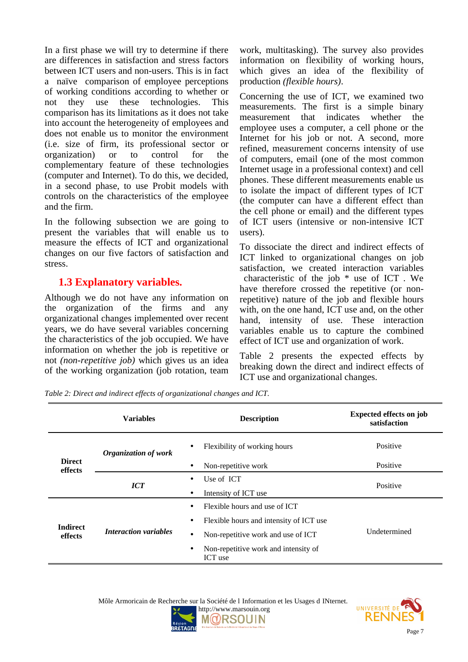In a first phase we will try to determine if there are differences in satisfaction and stress factors between ICT users and non-users. This is in fact a naïve comparison of employee perceptions of working conditions according to whether or not they use these technologies. This comparison has its limitations as it does not take into account the heterogeneity of employees and does not enable us to monitor the environment (i.e. size of firm, its professional sector or organization) or to control for the complementary feature of these technologies (computer and Internet). To do this, we decided, in a second phase, to use Probit models with controls on the characteristics of the employee and the firm.

In the following subsection we are going to present the variables that will enable us to measure the effects of ICT and organizational changes on our five factors of satisfaction and stress.

### **1.3 Explanatory variables.**

Although we do not have any information on the organization of the firms and any organizational changes implemented over recent years, we do have several variables concerning the characteristics of the job occupied. We have information on whether the job is repetitive or not *(non-repetitive job)* which gives us an idea of the working organization (job rotation, team

work, multitasking). The survey also provides information on flexibility of working hours, which gives an idea of the flexibility of production *(flexible hours)*.

Concerning the use of ICT, we examined two measurements. The first is a simple binary measurement that indicates whether the employee uses a computer, a cell phone or the Internet for his job or not. A second, more refined, measurement concerns intensity of use of computers, email (one of the most common Internet usage in a professional context) and cell phones. These different measurements enable us to isolate the impact of different types of ICT (the computer can have a different effect than the cell phone or email) and the different types of ICT users (intensive or non-intensive ICT users).

To dissociate the direct and indirect effects of ICT linked to organizational changes on job satisfaction, we created interaction variables characteristic of the job \* use of ICT . We have therefore crossed the repetitive (or nonrepetitive) nature of the job and flexible hours with, on the one hand, ICT use and, on the other hand, intensity of use. These interaction variables enable us to capture the combined effect of ICT use and organization of work.

Table 2 presents the expected effects by breaking down the direct and indirect effects of ICT use and organizational changes.

*Table 2: Direct and indirect effects of organizational changes and ICT.*

|                            | <b>Variables</b>            | <b>Description</b>                                           | <b>Expected effects on job</b><br>satisfaction |  |  |
|----------------------------|-----------------------------|--------------------------------------------------------------|------------------------------------------------|--|--|
|                            | <b>Organization of work</b> | Flexibility of working hours<br>$\bullet$                    | Positive                                       |  |  |
| <b>Direct</b><br>effects   |                             | Non-repetitive work<br>٠                                     | Positive                                       |  |  |
|                            | <b>ICT</b>                  | Use of ICT<br>$\bullet$                                      | Positive                                       |  |  |
|                            |                             | Intensity of ICT use<br>٠                                    |                                                |  |  |
|                            |                             | Flexible hours and use of ICT<br>$\bullet$                   |                                                |  |  |
|                            |                             | Flexible hours and intensity of ICT use<br>٠                 |                                                |  |  |
| <b>Indirect</b><br>effects | Interaction variables       | Non-repetitive work and use of ICT<br>$\bullet$              | Undetermined                                   |  |  |
|                            |                             | Non-repetitive work and intensity of<br>$\bullet$<br>ICT use |                                                |  |  |



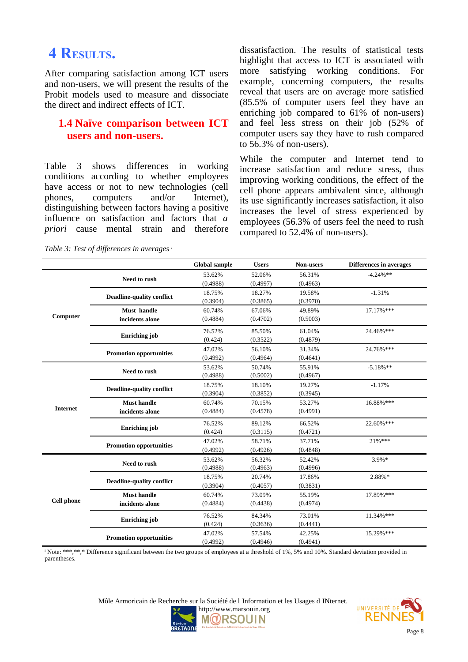## **4 RESULTS.**

After comparing satisfaction among ICT users and non-users, we will present the results of the Probit models used to measure and dissociate the direct and indirect effects of ICT.

#### **1.4 Naïve comparison between ICT users and non-users.**

Table 3 shows differences in working conditions according to whether employees have access or not to new technologies (cell phones, computers and/or Internet), distinguishing between factors having a positive influence on satisfaction and factors that *a priori* cause mental strain and therefore

dissatisfaction. The results of statistical tests highlight that access to ICT is associated with more satisfying working conditions. For example, concerning computers, the results reveal that users are on average more satisfied (85.5% of computer users feel they have an enriching job compared to 61% of non-users) and feel less stress on their job (52% of computer users say they have to rush compared to 56.3% of non-users).

While the computer and Internet tend to increase satisfaction and reduce stress, thus improving working conditions, the effect of the cell phone appears ambivalent since, although its use significantly increases satisfaction, it also increases the level of stress experienced by employees (56.3% of users feel the need to rush compared to 52.4% of non-users).

|                   |                                  | <b>Global sample</b> | <b>Users</b> | Non-users | <b>Differences in averages</b> |
|-------------------|----------------------------------|----------------------|--------------|-----------|--------------------------------|
|                   |                                  | 53.62%               | 52.06%       | 56.31%    | $-4.24%$ **                    |
| Computer          | Need to rush                     | (0.4988)             | (0.4997)     | (0.4963)  |                                |
|                   |                                  | 18.75%               | 18.27%       | 19.58%    | $-1.31%$                       |
|                   | <b>Deadline-quality conflict</b> | (0.3904)             | (0.3865)     | (0.3970)  |                                |
|                   | Must handle                      | 60.74%               | 67.06%       | 49.89%    | 17.17%***                      |
|                   | incidents alone                  | (0.4884)             | (0.4702)     | (0.5003)  |                                |
|                   |                                  | 76.52%               | 85.50%       | 61.04%    | 24.46%***                      |
|                   | <b>Enriching</b> job             | (0.424)              | (0.3522)     | (0.4879)  |                                |
|                   |                                  | 47.02%               | 56.10%       | 31.34%    | 24.76%***                      |
|                   | <b>Promotion opportunities</b>   | (0.4992)             | (0.4964)     | (0.4641)  |                                |
| <b>Internet</b>   |                                  | 53.62%               | 50.74%       | 55.91%    | $-5.18%$ **                    |
|                   | Need to rush                     | (0.4988)             | (0.5002)     | (0.4967)  |                                |
|                   |                                  | 18.75%               | 18.10%       | 19.27%    | $-1.17%$                       |
|                   | <b>Deadline-quality conflict</b> | (0.3904)             | (0.3852)     | (0.3945)  |                                |
|                   | <b>Must handle</b>               | 60.74%               | 70.15%       | 53.27%    | 16.88%***                      |
|                   | incidents alone                  | (0.4884)             | (0.4578)     | (0.4991)  |                                |
|                   |                                  | 76.52%               | 89.12%       | 66.52%    | $22.60\%***$                   |
|                   | <b>Enriching</b> job             | (0.424)              | (0.3115)     | (0.4721)  |                                |
|                   |                                  | 47.02%               | 58.71%       | 37.71%    | $21%$ ***                      |
|                   | <b>Promotion opportunities</b>   | (0.4992)             | (0.4926)     | (0.4848)  |                                |
|                   | Need to rush                     | 53.62%               | 56.32%       | 52.42%    | $3.9\% *$                      |
|                   |                                  | (0.4988)             | (0.4963)     | (0.4996)  |                                |
|                   | <b>Deadline-quality conflict</b> | 18.75%               | 20.74%       | 17.86%    | 2.88%*                         |
|                   |                                  | (0.3904)             | (0.4057)     | (0.3831)  |                                |
|                   | <b>Must handle</b>               | 60.74%               | 73.09%       | 55.19%    | 17.89%***                      |
| <b>Cell phone</b> | incidents alone                  | (0.4884)             | (0.4438)     | (0.4974)  |                                |
|                   |                                  | 76.52%               | 84.34%       | 73.01%    | 11.34%***                      |
|                   | <b>Enriching</b> job             | (0.424)              | (0.3636)     | (0.4441)  |                                |
|                   |                                  | 47.02%               | 57.54%       | 42.25%    | 15.29%***                      |
|                   | <b>Promotion opportunities</b>   | (0.4992)             | (0.4946)     | (0.4941)  |                                |

*Table 3: Test of differences in averages <sup>i</sup>*

i Note: \*\*\*,\*\*,\* Difference significant between the two groups of employees at a threshold of 1%, 5% and 10%. Standard deviation provided in parentheses.



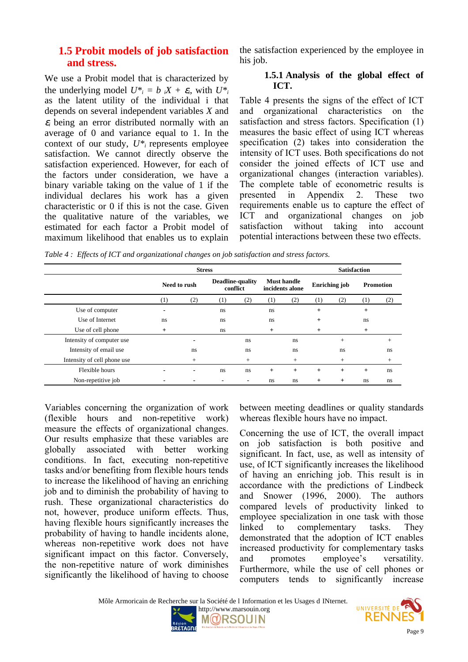#### **1.5 Probit models of job satisfaction and stress.**

We use a Probit model that is characterized by the underlying model  $U^*$ <sup>*i*</sup> = *b iX* +  $\varepsilon$ <sup>*i*</sup>, with  $U^*$ <sup>*i*</sup> as the latent utility of the individual i that depends on several independent variables *X* and  $\varepsilon_i$  being an error distributed normally with an average of 0 and variance equal to 1. In the context of our study,  $U^*$  represents employee satisfaction. We cannot directly observe the satisfaction experienced. However, for each of the factors under consideration, we have a binary variable taking on the value of 1 if the individual declares his work has a given characteristic or 0 if this is not the case. Given the qualitative nature of the variables, we estimated for each factor a Probit model of maximum likelihood that enables us to explain

the satisfaction experienced by the employee in his job.

#### **1.5.1 Analysis of the global effect of ICT.**

Table 4 presents the signs of the effect of ICT and organizational characteristics on the satisfaction and stress factors. Specification (1) measures the basic effect of using ICT whereas specification (2) takes into consideration the intensity of ICT uses. Both specifications do not consider the joined effects of ICT use and organizational changes (interaction variables). The complete table of econometric results is presented in Appendix 2. These two requirements enable us to capture the effect of ICT and organizational changes on job satisfaction without taking into account potential interactions between these two effects.

*Table 4 : Effects of ICT and organizational changes on job satisfaction and stress factors.*

|                             | <b>Stress</b>            |                |                              |                |                                       |     |                      |        |                  |        |
|-----------------------------|--------------------------|----------------|------------------------------|----------------|---------------------------------------|-----|----------------------|--------|------------------|--------|
|                             | Need to rush             |                | Deadline-quality<br>conflict |                | <b>Must handle</b><br>incidents alone |     | <b>Enriching job</b> |        | <b>Promotion</b> |        |
|                             | (1)                      | (2)            | (1)                          | (2)            | (1)                                   | (2) | (1)                  | (2)    | (1)              | (2)    |
| Use of computer             | $\overline{\phantom{0}}$ |                | ns                           |                | ns                                    |     | $^{+}$               |        | $^{+}$           |        |
| Use of Internet             | ns                       |                | ns                           |                | ns                                    |     | $^{+}$               |        | ns               |        |
| Use of cell phone           | $^{+}$                   |                | ns                           |                | $+$                                   |     | $+$                  |        | $^{+}$           |        |
| Intensity of computer use   |                          | -              |                              | ns.            |                                       | ns  |                      | $+$    |                  | $+$    |
| Intensity of email use      |                          | ns             |                              | ns.            |                                       | ns  |                      | ns     |                  | ns     |
| Intensity of cell phone use |                          | $^{+}$         |                              | $^{+}$         |                                       | $+$ |                      | $^{+}$ |                  | $^{+}$ |
| Flexible hours              |                          | $\blacksquare$ | ns                           | ns.            | $+$                                   | $+$ | $+$                  | $+$    | $^{+}$           | ns     |
| Non-repetitive job          |                          |                | $\overline{\phantom{0}}$     | $\blacksquare$ | ns                                    | ns  | $^{+}$               | $+$    | ns               | ns     |

Variables concerning the organization of work (flexible hours and non-repetitive work) measure the effects of organizational changes. Our results emphasize that these variables are globally associated with better working conditions. In fact, executing non-repetitive tasks and/or benefiting from flexible hours tends to increase the likelihood of having an enriching job and to diminish the probability of having to rush. These organizational characteristics do not, however, produce uniform effects. Thus, having flexible hours significantly increases the probability of having to handle incidents alone, whereas non-repetitive work does not have significant impact on this factor. Conversely, the non-repetitive nature of work diminishes significantly the likelihood of having to choose

between meeting deadlines or quality standards whereas flexible hours have no impact.

Concerning the use of ICT, the overall impact on job satisfaction is both positive and significant. In fact, use, as well as intensity of use, of ICT significantly increases the likelihood of having an enriching job. This result is in accordance with the predictions of Lindbeck and Snower (1996, 2000). The authors compared levels of productivity linked to employee specialization in one task with those linked to complementary tasks. They demonstrated that the adoption of ICT enables increased productivity for complementary tasks and promotes employee's versatility. Furthermore, while the use of cell phones or computers tends to significantly increase

Môle Armoricain de Recherche sur la Société de l Information et les Usages d INternet.



http://www.marsouin.org

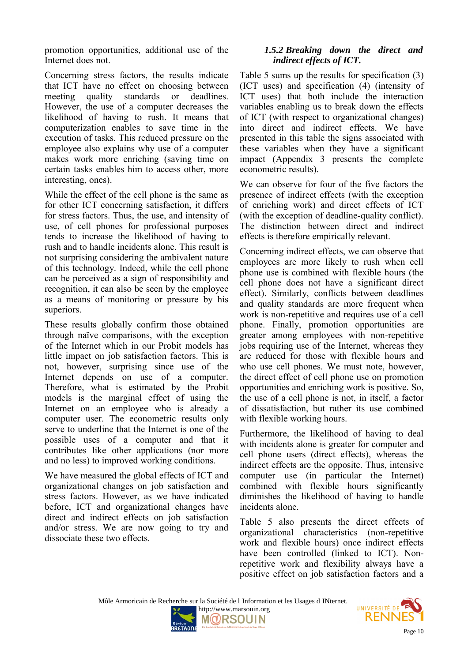promotion opportunities, additional use of the Internet does not.

Concerning stress factors, the results indicate that ICT have no effect on choosing between meeting quality standards or deadlines. However, the use of a computer decreases the likelihood of having to rush. It means that computerization enables to save time in the execution of tasks. This reduced pressure on the employee also explains why use of a computer makes work more enriching (saving time on certain tasks enables him to access other, more interesting, ones).

While the effect of the cell phone is the same as for other ICT concerning satisfaction, it differs for stress factors. Thus, the use, and intensity of use, of cell phones for professional purposes tends to increase the likelihood of having to rush and to handle incidents alone. This result is not surprising considering the ambivalent nature of this technology. Indeed, while the cell phone can be perceived as a sign of responsibility and recognition, it can also be seen by the employee as a means of monitoring or pressure by his superiors.

These results globally confirm those obtained through naïve comparisons, with the exception of the Internet which in our Probit models has little impact on job satisfaction factors. This is not, however, surprising since use of the Internet depends on use of a computer. Therefore, what is estimated by the Probit models is the marginal effect of using the Internet on an employee who is already a computer user. The econometric results only serve to underline that the Internet is one of the possible uses of a computer and that it contributes like other applications (nor more and no less) to improved working conditions.

We have measured the global effects of ICT and organizational changes on job satisfaction and stress factors. However, as we have indicated before, ICT and organizational changes have direct and indirect effects on job satisfaction and/or stress. We are now going to try and dissociate these two effects.

#### *1.5.2 Breaking down the direct and indirect effects of ICT.*

Table 5 sums up the results for specification (3) (ICT uses) and specification (4) (intensity of ICT uses) that both include the interaction variables enabling us to break down the effects of ICT (with respect to organizational changes) into direct and indirect effects. We have presented in this table the signs associated with these variables when they have a significant impact (Appendix 3 presents the complete econometric results).

We can observe for four of the five factors the presence of indirect effects (with the exception of enriching work) and direct effects of ICT (with the exception of deadline-quality conflict). The distinction between direct and indirect effects is therefore empirically relevant.

Concerning indirect effects, we can observe that employees are more likely to rush when cell phone use is combined with flexible hours (the cell phone does not have a significant direct effect). Similarly, conflicts between deadlines and quality standards are more frequent when work is non-repetitive and requires use of a cell phone. Finally, promotion opportunities are greater among employees with non-repetitive jobs requiring use of the Internet, whereas they are reduced for those with flexible hours and who use cell phones. We must note, however, the direct effect of cell phone use on promotion opportunities and enriching work is positive. So, the use of a cell phone is not, in itself, a factor of dissatisfaction, but rather its use combined with flexible working hours.

Furthermore, the likelihood of having to deal with incidents alone is greater for computer and cell phone users (direct effects), whereas the indirect effects are the opposite. Thus, intensive computer use (in particular the Internet) combined with flexible hours significantly diminishes the likelihood of having to handle incidents alone.

Table 5 also presents the direct effects of organizational characteristics (non-repetitive work and flexible hours) once indirect effects have been controlled (linked to ICT). Nonrepetitive work and flexibility always have a positive effect on job satisfaction factors and a

Môle Armoricain de Recherche sur la Société de l Information et les Usages d INternet.



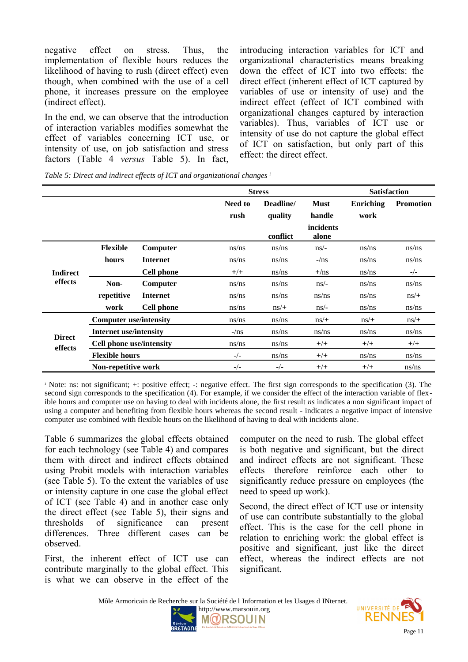negative effect on stress. Thus, the implementation of flexible hours reduces the likelihood of having to rush (direct effect) even though, when combined with the use of a cell phone, it increases pressure on the employee (indirect effect).

In the end, we can observe that the introduction of interaction variables modifies somewhat the effect of variables concerning ICT use, or intensity of use, on job satisfaction and stress factors (Table 4 *versus* Table 5). In fact,

introducing interaction variables for ICT and organizational characteristics means breaking down the effect of ICT into two effects: the direct effect (inherent effect of ICT captured by variables of use or intensity of use) and the indirect effect (effect of ICT combined with organizational changes captured by interaction variables). Thus, variables of ICT use or intensity of use do not capture the global effect of ICT on satisfaction, but only part of this effect: the direct effect.

*Table 5: Direct and indirect effects of ICT and organizational changes <sup>i</sup>*

|                            |                               |                   |                                                | <b>Stress</b> | <b>Satisfaction</b>   |                   |                  |
|----------------------------|-------------------------------|-------------------|------------------------------------------------|---------------|-----------------------|-------------------|------------------|
|                            |                               |                   | <b>Need to</b><br>Deadline/<br>rush<br>quality |               | <b>Must</b><br>handle | Enriching<br>work | <b>Promotion</b> |
|                            |                               |                   |                                                | conflict      | incidents<br>alone    |                   |                  |
|                            | <b>Flexible</b>               | Computer          | ns/ns                                          | ns/ns         | $\frac{ns}{-}$        | ns/ns             | ns/ns            |
| <b>Indirect</b><br>effects | hours                         | <b>Internet</b>   | ns/ns                                          | ns/ns         | $-\frac{m}{s}$        | ns/ns             | ns/ns            |
|                            |                               | <b>Cell phone</b> | $+/+$                                          | ns/ns         | $+/\text{ns}$         | ns/ns             | $-/-$            |
|                            | Non-                          | Computer          | ns/ns                                          | ns/ns         | $\frac{ns}{-}$        | ns/ns             | ns/ns            |
|                            | repetitive                    | <b>Internet</b>   | ns/ns                                          | ns/ns         | ns/ns                 | ns/ns             | $ns/+$           |
|                            | work                          | <b>Cell phone</b> | ns/ns                                          | $ns/+$        | $\frac{ns}{-}$        | ns/ns             | ns/ns            |
|                            | <b>Computer use/intensity</b> |                   | ns/ns                                          | ns/ns         | $ns/+$                | $ns/+$            | $ns/+$           |
| <b>Direct</b><br>effects   | <b>Internet use/intensity</b> |                   | $-\frac{m}{s}$                                 | ns/ns         | ns/ns                 | ns/ns             | ns/ns            |
|                            | Cell phone use/intensity      |                   | ns/ns                                          | ns/ns         | $+/+$                 | $+/+$             | $+/+$            |
|                            | <b>Flexible hours</b>         |                   | $-/-$                                          | ns/ns         | $+/+$                 | ns/ns             | ns/ns            |
|                            | Non-repetitive work           |                   | $-/-$                                          | $-/-$         | $+/+$                 | $+/+$             | ns/ns            |

i Note: ns: not significant; +: positive effect; -: negative effect. The first sign corresponds to the specification (3). The second sign corresponds to the specification (4). For example, if we consider the effect of the interaction variable of flexible hours and computer use on having to deal with incidents alone, the first result *ns* indicates a non significant impact of using a computer and benefiting from flexible hours whereas the second result - indicates a negative impact of intensive computer use combined with flexible hours on the likelihood of having to deal with incidents alone.

Table 6 summarizes the global effects obtained for each technology (see Table 4) and compares them with direct and indirect effects obtained using Probit models with interaction variables (see Table 5). To the extent the variables of use or intensity capture in one case the global effect of ICT (see Table 4) and in another case only the direct effect (see Table 5), their signs and thresholds of significance can present differences. Three different cases can be observed.

First, the inherent effect of ICT use can contribute marginally to the global effect. This is what we can observe in the effect of the

computer on the need to rush. The global effect is both negative and significant, but the direct and indirect effects are not significant. These effects therefore reinforce each other to significantly reduce pressure on employees (the need to speed up work).

Second, the direct effect of ICT use or intensity of use can contribute substantially to the global effect. This is the case for the cell phone in relation to enriching work: the global effect is positive and significant, just like the direct effect, whereas the indirect effects are not significant.

Môle Armoricain de Recherche sur la Société de l Information et les Usages d INternet.



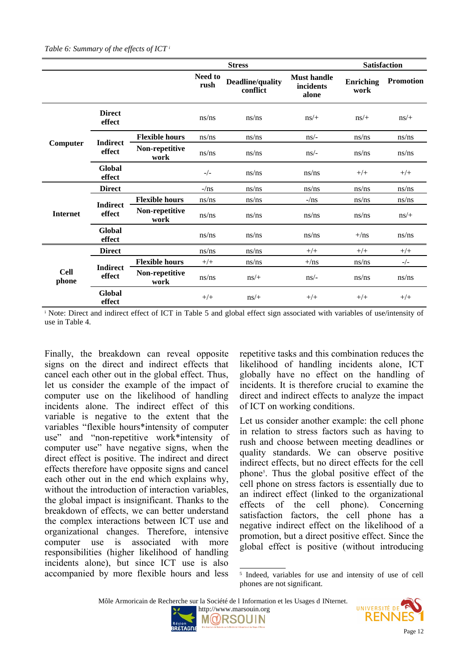|                      |                           |                        |                 | <b>Stress</b>                | <b>Satisfaction</b>                      |                   |                  |
|----------------------|---------------------------|------------------------|-----------------|------------------------------|------------------------------------------|-------------------|------------------|
|                      |                           |                        | Need to<br>rush | Deadline/quality<br>conflict | <b>Must handle</b><br>incidents<br>alone | Enriching<br>work | <b>Promotion</b> |
|                      | <b>Direct</b><br>effect   |                        | ns/ns           | ns/ns                        | $ns/+$                                   | $ns/+$            | $ns/+$           |
| Computer             | <b>Indirect</b>           | <b>Flexible hours</b>  | ns/ns           | ns/ns                        | $\frac{ns}{-}$                           | ns/ns             | ns/ns            |
|                      | effect                    | Non-repetitive<br>work | ns/ns           | ns/ns                        | $ns/-\$                                  | ns/ns             | ns/ns            |
|                      | Global<br>effect          |                        | $-/-$           | ns/ns                        | ns/ns                                    | $+/+$             | $+/+$            |
| <b>Internet</b>      | <b>Direct</b>             |                        | $-\sqrt{ns}$    | ns/ns                        | ns/ns                                    | ns/ns             | ns/ns            |
|                      | <b>Indirect</b><br>effect | <b>Flexible hours</b>  | ns/ns           | ns/ns                        | $-\frac{m}{s}$                           | ns/ns             | ns/ns            |
|                      |                           | Non-repetitive<br>work | ns/ns           | ns/ns                        | ns/ns                                    | ns/ns             | $ns/+$           |
|                      | Global<br>effect          |                        | ns/ns           | ns/ns                        | ns/ns                                    | $+/ns$            | ns/ns            |
|                      | <b>Direct</b>             |                        | ns/ns           | ns/ns                        | $+/+$                                    | $+/+$             | $+/+$            |
|                      |                           | <b>Flexible hours</b>  | $+/+$           | ns/ns                        | $+$ /ns                                  | ns/ns             | $-/-$            |
| <b>Cell</b><br>phone | <b>Indirect</b><br>effect | Non-repetitive<br>work | ns/ns           | $ns/+$                       | $ns/-\$                                  | ns/ns             | ns/ns            |
|                      | Global<br>effect          |                        | $+/+$           | $ns/+$                       | $+/+$                                    | $+/+$             | $+/+$            |

i Note: Direct and indirect effect of ICT in Table 5 and global effect sign associated with variables of use/intensity of use in Table 4.

Finally, the breakdown can reveal opposite signs on the direct and indirect effects that cancel each other out in the global effect. Thus, let us consider the example of the impact of computer use on the likelihood of handling incidents alone. The indirect effect of this variable is negative to the extent that the variables "flexible hours\*intensity of computer use" and "non-repetitive work\*intensity of computer use" have negative signs, when the direct effect is positive. The indirect and direct effects therefore have opposite signs and cancel each other out in the end which explains why, without the introduction of interaction variables, the global impact is insignificant. Thanks to the breakdown of effects, we can better understand the complex interactions between ICT use and organizational changes. Therefore, intensive computer use is associated with more responsibilities (higher likelihood of handling incidents alone), but since ICT use is also accompanied by more flexible hours and less

repetitive tasks and this combination reduces the likelihood of handling incidents alone, ICT globally have no effect on the handling of incidents. It is therefore crucial to examine the direct and indirect effects to analyze the impact of ICT on working conditions.

Let us consider another example: the cell phone in relation to stress factors such as having to rush and choose between meeting deadlines or quality standards. We can observe positive indirect effects, but no direct effects for the cell phone[5](#page-11-0) . Thus the global positive effect of the cell phone on stress factors is essentially due to an indirect effect (linked to the organizational effects of the cell phone). Concerning satisfaction factors, the cell phone has a negative indirect effect on the likelihood of a promotion, but a direct positive effect. Since the global effect is positive (without introducing

Môle Armoricain de Recherche sur la Société de l Information et les Usages d INternet.





<span id="page-11-0"></span><sup>5</sup> Indeed, variables for use and intensity of use of cell phones are not significant.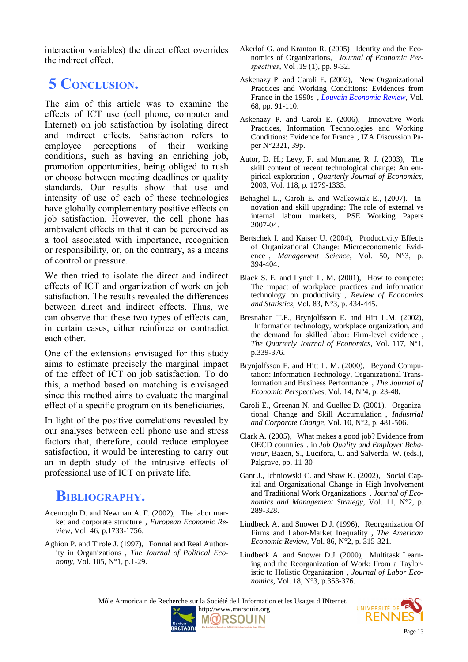interaction variables) the direct effect overrides the indirect effect.

## **5 CONCLUSION.**

The aim of this article was to examine the effects of ICT use (cell phone, computer and Internet) on job satisfaction by isolating direct and indirect effects. Satisfaction refers to employee perceptions of their working conditions, such as having an enriching job, promotion opportunities, being obliged to rush or choose between meeting deadlines or quality standards. Our results show that use and intensity of use of each of these technologies have globally complementary positive effects on job satisfaction. However, the cell phone has ambivalent effects in that it can be perceived as a tool associated with importance, recognition or responsibility, or, on the contrary, as a means of control or pressure.

We then tried to isolate the direct and indirect effects of ICT and organization of work on job satisfaction. The results revealed the differences between direct and indirect effects. Thus, we can observe that these two types of effects can, in certain cases, either reinforce or contradict each other.

One of the extensions envisaged for this study aims to estimate precisely the marginal impact of the effect of ICT on job satisfaction. To do this, a method based on matching is envisaged since this method aims to evaluate the marginal effect of a specific program on its beneficiaries.

In light of the positive correlations revealed by our analyses between cell phone use and stress factors that, therefore, could reduce employee satisfaction, it would be interesting to carry out an in-depth study of the intrusive effects of professional use of ICT on private life.

## **BIBLIOGRAPHY.**

- Acemoglu D. and Newman A. F. (2002), The labor market and corporate structure , *European Economic Review*, Vol. 46, p.1733-1756.
- Aghion P. and Tirole J. (1997), Formal and Real Authority in Organizations , *The Journal of Political Economy*, Vol. 105, N°1, p.1-29.
- Akerlof G. and Kranton R. (2005) Identity and the Economics of Organizations, *Journal of Economic Perspectives*, Vol .19 (1), pp. 9-32.
- Askenazy P. and Caroli E. (2002), New Organizational Practices and Working Conditions: Evidences from France in the 1990s , *[Louvain Economic Review](http://www.econ.ucl.ac.be/econ/rel/RELuk.html)*, Vol. 68, pp. 91-110.
- Askenazy P. and Caroli E. (2006), Innovative Work Practices, Information Technologies and Working Conditions: Evidence for France , IZA Discussion Paper N°2321, 39p.
- Autor, D. H.; Levy, F. and Murnane, R. J. (2003), The skill content of recent technological change: An empirical exploration , *Quarterly Journal of Economics*, 2003, Vol. 118, p. 1279-1333.
- Behaghel L., Caroli E. and Walkowiak E., (2007). [In](http://ideas.repec.org/p/pse/psecon/2007-04.html)[novation and skill upgrading: The role of external vs](http://ideas.repec.org/p/pse/psecon/2007-04.html) [internal labour markets,](http://ideas.repec.org/p/pse/psecon/2007-04.html) [PSE Working Papers](http://ideas.repec.org/s/pse/psecon.html) 2007-04.
- Bertschek I. and Kaiser U. (2004), Productivity Effects of Organizational Change: Microeconometric Evidence , *Management Science*, Vol. 50, N°3, p. 394-404.
- Black S. E. and Lynch L. M. (2001), How to compete: The impact of workplace practices and information technology on productivity , *Review of Economics and Statistics*, Vol. 83, N°3, p. 434-445.
- Bresnahan T.F., Brynjolfsson E. and Hitt L.M. (2002), Information technology, workplace organization, and the demand for skilled labor: Firm-level evidence , *The Quarterly Journal of Economics*, Vol. 117, N°1, p.339-376.
- Brynjolfsson E. and Hitt L. M. (2000), Beyond Computation: Information Technology, Organizational Transformation and Business Performance , *The Journal of Economic Perspectives*, Vol. 14, N°4, p. 23-48.
- Caroli E., Greenan N. and Guellec D. (2001), Organizational Change and Skill Accumulation , *Industrial and Corporate Change*, Vol. 10, N°2, p. 481-506.
- Clark A. (2005), What makes a good job? Evidence from OECD countries , in *Job Quality and Employer Behaviour*, Bazen, S., Lucifora, C. and Salverda, W. (eds.), Palgrave, pp. 11-30
- Gant J., Ichniowski C. and Shaw K. (2002), Social Capital and Organizational Change in High-Involvement and Traditional Work Organizations , *Journal of Economics and Management Strategy*, Vol. 11, N°2, p. 289-328.
- Lindbeck A. and Snower D.J. (1996), Reorganization Of Firms and Labor-Market Inequality , *The American Economic Review*, Vol. 86, N°2, p. 315-321.
- Lindbeck A. and Snower D.J. (2000), Multitask Learning and the Reorganization of Work: From a Tayloristic to Holistic Organization , *Journal of Labor Economics*, Vol. 18, N°3, p.353-376.

Môle Armoricain de Recherche sur la Société de l Information et les Usages d INternet.



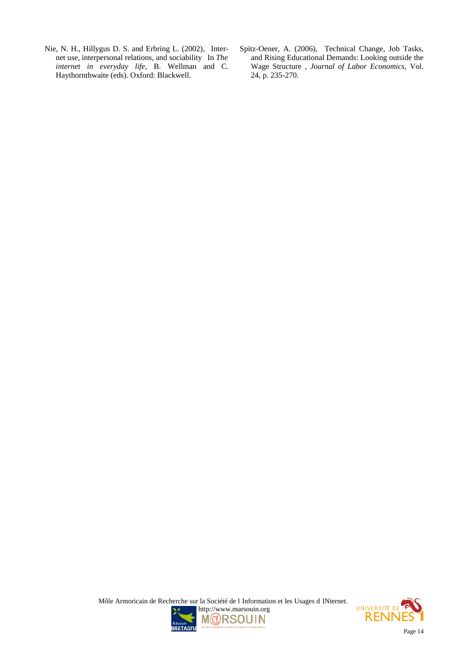- Nie, N. H., Hillygus D. S. and Erbring L. (2002), Internet use, interpersonal relations, and sociability In *The internet in everyday life*, B. Wellman and C. Haythornthwaite (eds). Oxford: Blackwell.
- Spitz-Oener, A. (2006), Technical Change, Job Tasks, and Rising Educational Demands: Looking outside the Wage Structure , *Journal of Labor Economics*, Vol. 24, p. 235-270.



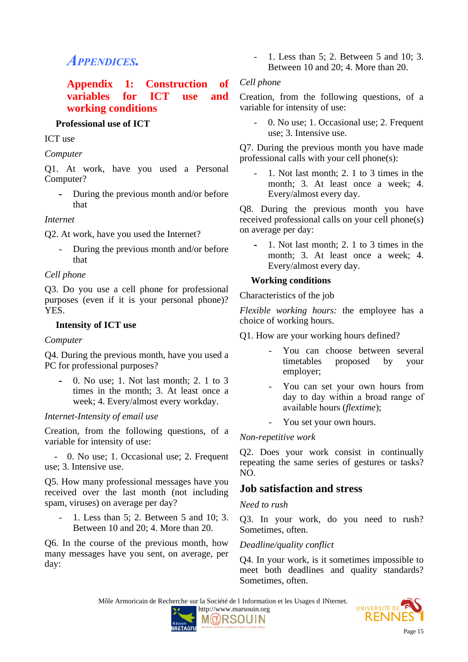## *APPENDICES.*

#### **Appendix 1: Construction of variables for ICT use and working conditions**

#### **Professional use of ICT**

#### ICT use

#### *Computer*

Q1. At work, have you used a Personal Computer?

**-** During the previous month and/or before that

#### *Internet*

Q2. At work, have you used the Internet?

During the previous month and/or before that

#### *Cell phone*

Q3. Do you use a cell phone for professional purposes (even if it is your personal phone)? YES.

#### **Intensity of ICT use**

#### *Computer*

Q4. During the previous month, have you used a PC for professional purposes?

**-** 0. No use; 1. Not last month; 2. 1 to 3 times in the month; 3. At least once a week; 4. Every/almost every workday.

#### *Internet-Intensity of email use*

Creation, from the following questions, of a variable for intensity of use:

 - 0. No use; 1. Occasional use; 2. Frequent use; 3. Intensive use.

Q5. How many professional messages have you received over the last month (not including spam, viruses) on average per day?

- 1. Less than 5; 2. Between 5 and 10; 3. Between 10 and 20; 4. More than 20.

Q6. In the course of the previous month, how many messages have you sent, on average, per day:

- 1. Less than 5; 2. Between 5 and 10; 3. Between 10 and 20; 4. More than 20.

#### *Cell phone*

Creation, from the following questions, of a variable for intensity of use:

0. No use; 1. Occasional use; 2. Frequent use; 3. Intensive use.

Q7. During the previous month you have made professional calls with your cell phone(s):

- 1. Not last month; 2. 1 to 3 times in the month; 3. At least once a week; 4. Every/almost every day.

Q8. During the previous month you have received professional calls on your cell phone(s) on average per day:

**-** 1. Not last month; 2. 1 to 3 times in the month; 3. At least once a week; 4. Every/almost every day.

#### **Working conditions**

Characteristics of the job

*Flexible working hours:* the employee has a choice of working hours.

Q1. How are your working hours defined?

- You can choose between several timetables proposed by your employer;
- You can set your own hours from day to day within a broad range of available hours (*flextime*);
- You set your own hours.

#### *Non-repetitive work*

Q2. Does your work consist in continually repeating the same series of gestures or tasks? NO.

### **Job satisfaction and stress**

*Need to rush*

i,

Q3. In your work, do you need to rush? Sometimes, often.

#### *Deadline/quality conflict*

Q4. In your work, is it sometimes impossible to meet both deadlines and quality standards? Sometimes, often.

Môle Armoricain de Recherche sur la Société de l Information et les Usages d INternet. UNIVERSITÉ DI

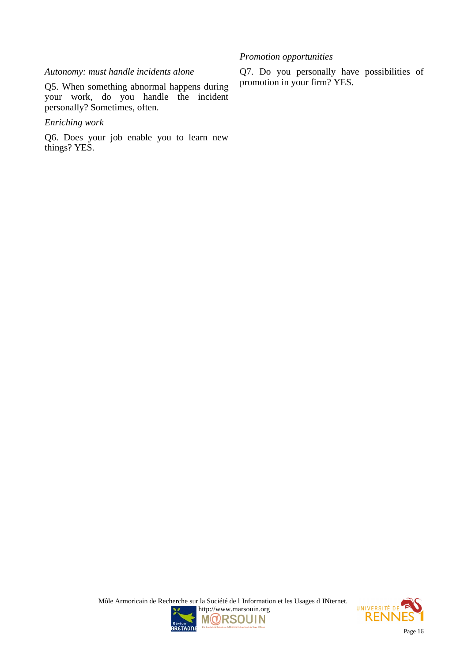#### *Autonomy: must handle incidents alone*

Q5. When something abnormal happens during your work, do you handle the incident personally? Sometimes, often.

#### *Enriching work*

Q6. Does your job enable you to learn new things? YES.

Q7. Do you personally have possibilities of promotion in your firm? YES.

*Promotion opportunities*



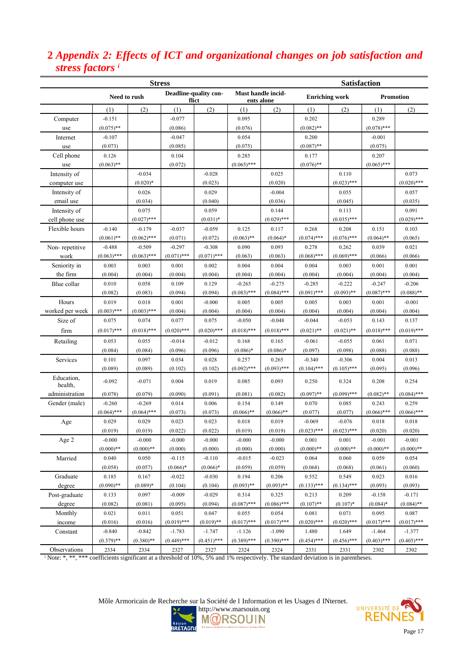### **2** *Appendix 2: Effects of ICT and organizational changes on job satisfaction and stress factors <sup>i</sup>*

|                       | <b>Stress</b>                                                        |               |               |               |                                           | <b>Satisfaction</b> |               |               |               |               |  |  |
|-----------------------|----------------------------------------------------------------------|---------------|---------------|---------------|-------------------------------------------|---------------------|---------------|---------------|---------------|---------------|--|--|
|                       | Deadline-quality con-<br>Must handle incid-<br>Need to rush<br>flict |               |               | ents alone    | <b>Enriching work</b><br><b>Promotion</b> |                     |               |               |               |               |  |  |
|                       | (1)                                                                  | (2)           | (1)           | (2)           | (1)                                       | (2)                 | (1)           | (2)           | (1)           | (2)           |  |  |
| Computer              | $-0.151$                                                             |               | $-0.077$      |               | 0.095                                     |                     | 0.202         |               | 0.289         |               |  |  |
| use                   | $(0.075)$ **                                                         |               | (0.086)       |               | (0.076)                                   |                     | $(0.082)$ **  |               | $(0.078)$ *** |               |  |  |
| Internet              | $-0.107$                                                             |               | $-0.047$      |               | 0.054                                     |                     | 0.200         |               | $-0.001$      |               |  |  |
| use                   | (0.073)                                                              |               | (0.085)       |               | (0.075)                                   |                     | $(0.087)$ **  |               | (0.075)       |               |  |  |
| Cell phone            | 0.126                                                                |               | 0.104         |               | 0.285                                     |                     | 0.177         |               | 0.207         |               |  |  |
| use                   | $(0.063)$ **                                                         |               | (0.072)       |               | $(0.065)$ ***                             |                     | $(0.076)$ **  |               | $(0.065)$ *** |               |  |  |
| Intensity of          |                                                                      | $-0.034$      |               | $-0.028$      |                                           | 0.025               |               | 0.110         |               | 0.073         |  |  |
| computer use          |                                                                      | $(0.020)*$    |               | (0.023)       |                                           | (0.020)             |               | $(0.023)$ *** |               | $(0.020)$ *** |  |  |
| Intensity of          |                                                                      | 0.026         |               | 0.029         |                                           | $-0.004$            |               | 0.055         |               | 0.057         |  |  |
| email use             |                                                                      | (0.034)       |               | (0.040)       |                                           | (0.036)             |               | (0.045)       |               | (0.035)       |  |  |
| Intensity of          |                                                                      | 0.075         |               | 0.059         |                                           | 0.144               |               | 0.113         |               | 0.091         |  |  |
| cell phone use        |                                                                      | $(0.027)$ *** |               | $(0.031)*$    |                                           | $(0.029)$ ***       |               | $(0.035)$ *** |               | $(0.029)$ *** |  |  |
| Flexible hours        | $-0.140$                                                             | $-0.179$      | $-0.037$      | $-0.059$      | 0.125                                     | 0.117               | 0.268         | 0.208         | 0.151         | 0.103         |  |  |
|                       | $(0.061)$ **                                                         | $(0.062)$ *** | (0.071)       | (0.072)       | $(0.063)$ **                              | $(0.064)$ *         | $(0.074)$ *** | $(0.076)$ *** | $(0.064)$ **  | (0.065)       |  |  |
| Non-repetitive        | $-0.488$                                                             | $-0.509$      | $-0.297$      | $-0.308$      | 0.090                                     | 0.093               | 0.278         | 0.262         | 0.039         | 0.021         |  |  |
| work                  | $(0.063)$ ***                                                        | $(0.063)$ *** | $(0.071)$ *** | $(0.071)$ *** | (0.063)                                   | (0.063)             | $(0.068)$ *** | $(0.069)$ *** | (0.066)       | (0.066)       |  |  |
| Seniority in          | 0.003                                                                | 0.003         | 0.001         | 0.002         | 0.004                                     | 0.004               | 0.004         | 0.003         | 0.001         | 0.001         |  |  |
| the firm              | (0.004)                                                              | (0.004)       | (0.004)       | (0.004)       | (0.004)                                   | (0.004)             | (0.004)       | (0.004)       | (0.004)       | (0.004)       |  |  |
| Blue collar           | 0.010                                                                | 0.058         | 0.109         | 0.129         | $-0.265$                                  | $-0.275$            | $-0.285$      | $-0.222$      | $-0.247$      | $-0.206$      |  |  |
|                       | (0.082)                                                              | (0.083)       | (0.094)       | (0.094)       | $(0.083)$ ***                             | $(0.084)$ ***       | $(0.091)$ *** | $(0.093)$ **  | $(0.087)$ *** | $(0.088)$ **  |  |  |
| Hours                 | 0.019                                                                | 0.018         | 0.001         | $-0.000$      | 0.005                                     | 0.005               | 0.005         | 0.003         | 0.001         | $-0.001$      |  |  |
| worked per week       | $(0.003)$ ***                                                        | $(0.003)$ *** | (0.004)       | (0.004)       | (0.004)                                   | (0.004)             | (0.004)       | (0.004)       | (0.004)       | (0.004)       |  |  |
| Size of               | 0.075                                                                | 0.074         | 0.077         | 0.075         | $-0.050$                                  | $-0.048$            | $-0.044$      | $-0.053$      | 0.143         | 0.137         |  |  |
| firm                  | $(0.017)$ ***                                                        | $(0.018)$ *** | $(0.020)$ *** | $(0.020)$ *** | $(0.018)$ ***                             | $(0.018)$ ***       | $(0.021)$ **  | $(0.021)$ **  | $(0.018)$ *** | $(0.019)$ *** |  |  |
| Retailing             | 0.053                                                                | 0.055         | $-0.014$      | $-0.012$      | 0.168                                     | 0.165               | $-0.061$      | $-0.055$      | 0.061         | 0.071         |  |  |
|                       | (0.084)                                                              | (0.084)       | (0.096)       | (0.096)       | $(0.086)*$                                | $(0.086)*$          | (0.097)       | (0.098)       | (0.088)       | (0.088)       |  |  |
| Services              | 0.101                                                                | 0.097         | 0.034         | 0.028         | 0.257                                     | 0.265               | $-0.340$      | $-0.306$      | 0.004         | 0.013         |  |  |
|                       | (0.089)                                                              | (0.089)       | (0.102)       | (0.102)       | $(0.092)$ ***                             | $(0.093)$ ***       | $(0.104)$ *** | $(0.105)$ *** | (0.095)       | (0.096)       |  |  |
| Education,<br>health, | $-0.092$                                                             | $-0.071$      | 0.004         | 0.019         | 0.085                                     | 0.093               | 0.250         | 0.324         | 0.208         | 0.254         |  |  |
| administration        | (0.078)                                                              | (0.079)       | (0.090)       | (0.091)       | (0.081)                                   | (0.082)             | $(0.097)$ **  | $(0.099)$ *** | $(0.082)$ **  | $(0.084)$ *** |  |  |
| Gender (male)         | $-0.260$                                                             | $-0.269$      | 0.014         | 0.006         | 0.154                                     | 0.149               | 0.070         | 0.085         | 0.243         | 0.259         |  |  |
|                       | $(0.064)$ ***                                                        | $(0.064)$ *** | (0.073)       | (0.073)       | $(0.066)$ **                              | $(0.066)$ **        | (0.077)       | (0.077)       | $(0.066)$ *** | $(0.066)$ *** |  |  |
| Age                   | 0.029                                                                | 0.029         | 0.023         | 0.023         | 0.018                                     | 0.019               | $-0.069$      | $-0.076$      | 0.018         | 0.018         |  |  |
|                       | (0.019)                                                              | (0.019)       | (0.022)       | (0.022)       | (0.019)                                   | (0.019)             | $(0.023)$ *** | $(0.023)$ *** | (0.020)       | (0.020)       |  |  |
| Age 2                 | $-0.000$                                                             | $-0.000$      | $-0.000$      | $-0.000$      | $-0.000$                                  | $-0.000$            | 0.001         | 0.001         | $-0.001$      | $-0.001$      |  |  |
|                       | $(0.000)**$                                                          | $(0.000)**$   | (0.000)       | (0.000)       | (0.000)                                   | (0.000)             | $(0.000)**$   | $(0.000)**$   | $(0.000)$ **  | $(0.000)$ **  |  |  |
| Married               | 0.040                                                                | 0.050         | $-0.115$      | $-0.110$      | $-0.015$                                  | $-0.023$            | 0.064         | 0.060         | 0.059         | 0.054         |  |  |
|                       | (0.058)                                                              | (0.057)       | $(0.066)*$    | $(0.066)*$    | (0.059)                                   | (0.059)             | (0.068)       | (0.068)       | (0.061)       | (0.060)       |  |  |
| Graduate              | 0.185                                                                | 0.167         | $-0.022$      | $-0.030$      | 0.194                                     | 0.206               | 0.552         | 0.549         | 0.023         | 0.016         |  |  |
| degree                | $(0.090)$ **                                                         | $(0.089)*$    | (0.104)       | (0.104)       | $(0.093)$ **                              | $(0.093)$ **        | $(0.133)$ *** | $(0.134)$ *** | (0.093)       | (0.093)       |  |  |
| Post-graduate         | 0.133                                                                | 0.097         | $-0.009$      | $-0.029$      | 0.314                                     | 0.325               | 0.213         | 0.209         | $-0.158$      | $-0.171$      |  |  |
| degree                | (0.082)                                                              | (0.081)       | (0.095)       | (0.094)       | $(0.087)$ ***                             | $(0.086)$ ***       | $(0.107)$ **  | $(0.107)*$    | $(0.084)$ *   | $(0.084)$ **  |  |  |
| Monthly               | 0.021                                                                | 0.011         | 0.051         | 0.047         | 0.055                                     | 0.054               | 0.081         | 0.071         | 0.095         | 0.087         |  |  |
| income                | (0.016)                                                              | (0.016)       | $(0.019)$ *** | $(0.019)$ **  | $(0.017)$ ***                             | $(0.017)$ ***       | $(0.020)$ *** | $(0.020)$ *** | $(0.017)$ *** | $(0.017)$ *** |  |  |
| Constant              | $-0.840$                                                             | $-0.842$      | $-1.783$      | $-1.747$      | $-1.126$                                  | $-1.090$            | 1.480         | 1.649         | $-1.464$      | $-1.377$      |  |  |
|                       | $(0.379)$ **                                                         | $(0.380)$ **  | $(0.449)$ *** | $(0.451)$ *** | $(0.389)$ ***                             | $(0.390)$ ***       | $(0.454)$ *** | $(0.456)$ *** | $(0.403)$ *** | $(0.405)$ *** |  |  |
| Observations          | 2334                                                                 | 2334          | 2327          | 2327          | 2324                                      | 2324                | 2331          | 2331          | 2302          | 2302          |  |  |

i Note: \*, \*\*, \*\*\* coefficients significant at a threshold of 10%, 5% and 1% respectively. The standard deviation is in parentheses.

Môle Armoricain de Recherche sur la Société de l Information et les Usages d INternet.



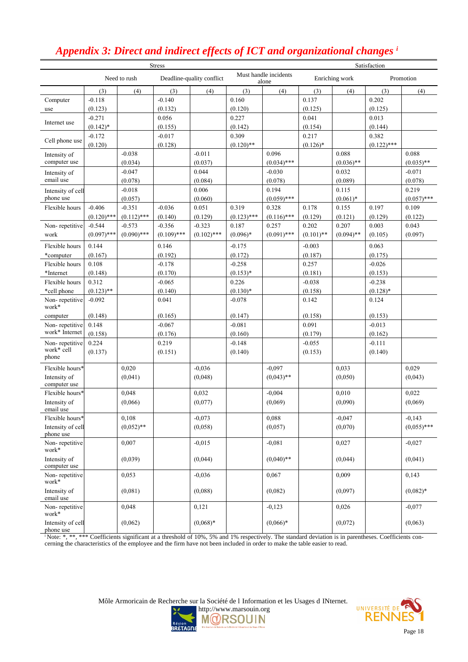| <b>Stress</b>                  |               |               |               |                           | Satisfaction  |                                |              |                |               |               |
|--------------------------------|---------------|---------------|---------------|---------------------------|---------------|--------------------------------|--------------|----------------|---------------|---------------|
|                                |               | Need to rush  |               | Deadline-quality conflict |               | Must handle incidents<br>alone |              | Enriching work |               | Promotion     |
|                                | (3)           | (4)           | (3)           | (4)                       | (3)           | (4)                            | (3)          | (4)            | (3)           | (4)           |
| Computer                       | $-0.118$      |               | $-0.140$      |                           | 0.160         |                                | 0.137        |                | 0.202         |               |
| use                            | (0.123)       |               | (0.132)       |                           | (0.120)       |                                | (0.125)      |                | (0.125)       |               |
| Internet use                   | $-0.271$      |               | 0.056         |                           | 0.227         |                                | 0.041        |                | 0.013         |               |
|                                | $(0.142)^*$   |               | (0.155)       |                           | (0.142)       |                                | (0.154)      |                | (0.144)       |               |
| Cell phone use                 | $-0.172$      |               | $-0.017$      |                           | 0.309         |                                | 0.217        |                | 0.382         |               |
|                                | (0.120)       |               | (0.128)       |                           | $(0.120)$ **  |                                | $(0.126)$ *  |                | $(0.122)$ *** |               |
| Intensity of                   |               | $-0.038$      |               | $-0.011$                  |               | 0.096                          |              | 0.088          |               | 0.088         |
| computer use                   |               | (0.034)       |               | (0.037)                   |               | $(0.034)$ ***                  |              | $(0.036)$ **   |               | $(0.035)$ **  |
| Intensity of                   |               | $-0.047$      |               | 0.044                     |               | $-0.030$                       |              | 0.032          |               | $-0.071$      |
| email use                      |               | (0.078)       |               | (0.084)                   |               | (0.078)                        |              | (0.089)        |               | (0.078)       |
| Intensity of cell              |               | $-0.018$      |               | 0.006                     |               | 0.194                          |              | 0.115          |               | 0.219         |
| phone use                      |               | (0.057)       |               | (0.060)                   |               | $(0.059)$ ***                  |              | $(0.061)*$     |               | $(0.057)$ *** |
| Flexible hours                 | $-0.406$      | $-0.351$      | $-0.036$      | 0.051                     | 0.319         | 0.328                          | 0.178        | 0.155          | 0.197         | 0.109         |
|                                | $(0.120)$ *** | $(0.112)$ *** | (0.140)       | (0.129)                   | $(0.123)$ *** | $(0.116)$ ***                  | (0.129)      | (0.121)        | (0.129)       | (0.122)       |
| Non-repetitive                 | $-0.544$      | $-0.573$      | $-0.356$      | $-0.323$                  | 0.187         | 0.257                          | 0.202        | 0.207          | 0.003         | 0.043         |
| work                           | $(0.097)$ *** | $(0.090)$ *** | $(0.109)$ *** | $(0.102)$ ***             | $(0.096)*$    | $(0.091)$ ***                  | $(0.101)$ ** | $(0.094)$ **   | (0.105)       | (0.097)       |
| Flexible hours                 | 0.144         |               | 0.146         |                           | $-0.175$      |                                | $-0.003$     |                | 0.063         |               |
| *computer                      | (0.167)       |               | (0.192)       |                           | (0.172)       |                                | (0.187)      |                | (0.175)       |               |
| Flexible hours                 | 0.108         |               | $-0.178$      |                           | $-0.258$      |                                | 0.257        |                | $-0.026$      |               |
| *Internet                      | (0.148)       |               | (0.170)       |                           | $(0.153)*$    |                                | (0.181)      |                | (0.153)       |               |
| Flexible hours                 | 0.312         |               | $-0.065$      |                           | 0.226         |                                | $-0.038$     |                | $-0.238$      |               |
| *cell phone                    | $(0.123)$ **  |               | (0.140)       |                           | $(0.130)*$    |                                | (0.158)      |                | $(0.128)$ *   |               |
| Non-repetitive<br>work*        | $-0.092$      |               | 0.041         |                           | $-0.078$      |                                | 0.142        |                | 0.124         |               |
| computer                       | (0.148)       |               | (0.165)       |                           | (0.147)       |                                | (0.158)      |                | (0.153)       |               |
| Non-repetitive                 | 0.148         |               | $-0.067$      |                           | $-0.081$      |                                | 0.091        |                | $-0.013$      |               |
| work* Internet                 | (0.158)       |               | (0.176)       |                           | (0.160)       |                                | (0.179)      |                | (0.162)       |               |
| Non-repetitive                 | 0.224         |               | 0.219         |                           | $-0.148$      |                                | $-0.055$     |                | $-0.111$      |               |
| work* cell<br>phone            | (0.137)       |               | (0.151)       |                           | (0.140)       |                                | (0.153)      |                | (0.140)       |               |
| Flexible hours*                |               | 0,020         |               | $-0,036$                  |               | $-0.097$                       |              | 0,033          |               | 0,029         |
| Intensity of<br>computer use   |               | (0,041)       |               | (0,048)                   |               | $(0.043)$ **                   |              | (0,050)        |               | (0.043)       |
| Flexible hours*                |               | 0,048         |               | 0,032                     |               | $-0,004$                       |              | 0,010          |               | 0,022         |
| Intensity of<br>email use      |               | (0,066)       |               | (0,077)                   |               | (0,069)                        |              | (0,090)        |               | (0,069)       |
| Flexible hours*                |               | 0,108         |               | $-0,073$                  |               | 0,088                          |              | $-0,047$       |               | $-0,143$      |
| Intensity of cell<br>phone use |               | $(0.052)$ **  |               | (0,058)                   |               | (0,057)                        |              | (0,070)        |               | $(0.055)$ *** |
| Non-repetitive<br>work*        |               | 0,007         |               | $-0,015$                  |               | $-0,081$                       |              | 0,027          |               | $-0,027$      |
| Intensity of<br>computer use   |               | (0,039)       |               | (0,044)                   |               | $(0.040)$ **                   |              | (0,044)        |               | (0.041)       |
| Non-repetitive<br>work*        |               | 0,053         |               | $-0,036$                  |               | 0,067                          |              | 0,009          |               | 0,143         |
| Intensity of<br>email use      |               | (0,081)       |               | (0,088)                   |               | (0,082)                        |              | (0,097)        |               | $(0.082)*$    |
| Non-repetitive<br>work*        |               | 0,048         |               | 0,121                     |               | $-0,123$                       |              | 0,026          |               | $-0,077$      |
| Intensity of cell<br>phone use |               | (0,062)       |               | $(0,068)*$                |               | $(0,066)*$                     |              | (0,072)        |               | (0,063)       |

## *Appendix 3: Direct and indirect effects of ICT and organizational changes <sup>i</sup>*

i Note: \*, \*\*, \*\*\* Coefficients significant at a threshold of 10%, 5% and 1% respectively. The standard deviation is in parentheses. Coefficients concerning the characteristics of the employee and the firm have not been included in order to make the table easier to read.